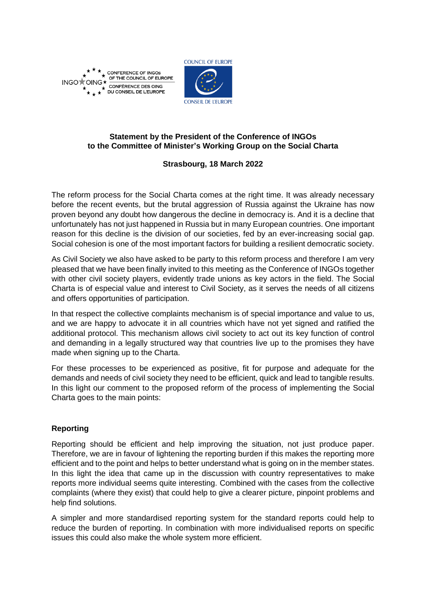

**CONFERENCE OF INGOS** OF THE COUNCIL OF EUROPE INGO<sup>+</sup>OI G\* CONFÉRENCE DES OING DU CONSEIL DE L'EUROPE



# **Statement by the President of the Conference of INGOs to the Committee of Minister's Working Group on the Social Charta**

### **Strasbourg, 18 March 2022**

The reform process for the Social Charta comes at the right time. It was already necessary before the recent events, but the brutal aggression of Russia against the Ukraine has now proven beyond any doubt how dangerous the decline in democracy is. And it is a decline that unfortunately has not just happened in Russia but in many European countries. One important reason for this decline is the division of our societies, fed by an ever-increasing social gap. Social cohesion is one of the most important factors for building a resilient democratic society.

As Civil Society we also have asked to be party to this reform process and therefore I am very pleased that we have been finally invited to this meeting as the Conference of INGOs together with other civil society players, evidently trade unions as key actors in the field. The Social Charta is of especial value and interest to Civil Society, as it serves the needs of all citizens and offers opportunities of participation.

In that respect the collective complaints mechanism is of special importance and value to us, and we are happy to advocate it in all countries which have not yet signed and ratified the additional protocol. This mechanism allows civil society to act out its key function of control and demanding in a legally structured way that countries live up to the promises they have made when signing up to the Charta.

For these processes to be experienced as positive, fit for purpose and adequate for the demands and needs of civil society they need to be efficient, quick and lead to tangible results. In this light our comment to the proposed reform of the process of implementing the Social Charta goes to the main points:

# **Reporting**

Reporting should be efficient and help improving the situation, not just produce paper. Therefore, we are in favour of lightening the reporting burden if this makes the reporting more efficient and to the point and helps to better understand what is going on in the member states. In this light the idea that came up in the discussion with country representatives to make reports more individual seems quite interesting. Combined with the cases from the collective complaints (where they exist) that could help to give a clearer picture, pinpoint problems and help find solutions.

A simpler and more standardised reporting system for the standard reports could help to reduce the burden of reporting. In combination with more individualised reports on specific issues this could also make the whole system more efficient.